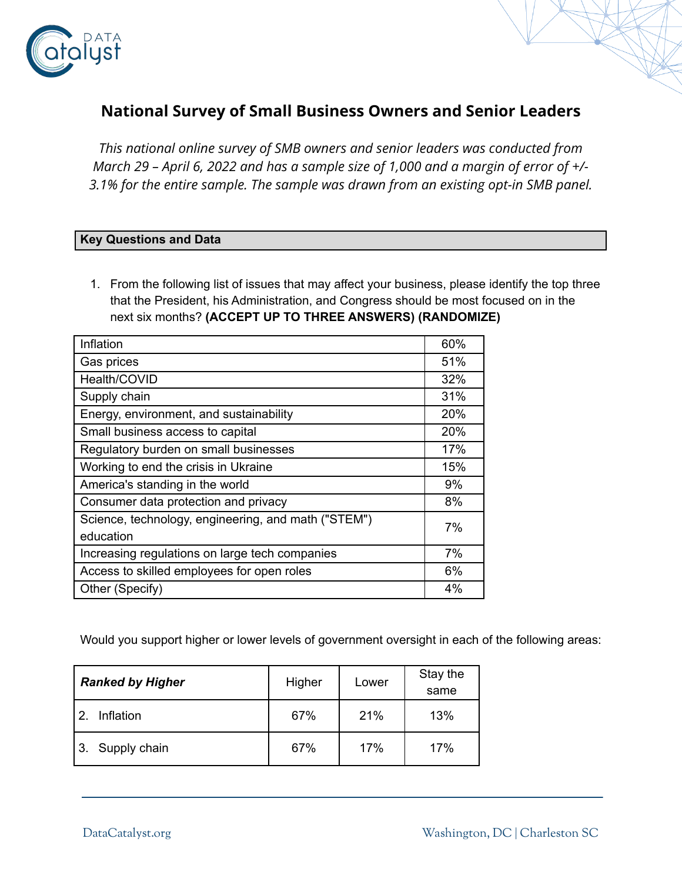

# **National Survey of Small Business Owners and Senior Leaders**

*This national online survey of SMB owners and senior leaders was conducted from March 29 – April 6, 2022 and has a sample size of 1,000 and a margin of error of +/- 3.1% for the entire sample. The sample was drawn from an existing opt-in SMB panel.*

#### **Key Questions and Data**

1. From the following list of issues that may affect your business, please identify the top three that the President, his Administration, and Congress should be most focused on in the next six months? **(ACCEPT UP TO THREE ANSWERS) (RANDOMIZE)**

| Inflation                                           | 60%   |
|-----------------------------------------------------|-------|
| Gas prices                                          | 51%   |
| Health/COVID                                        | 32%   |
| Supply chain                                        | 31%   |
| Energy, environment, and sustainability             | 20%   |
| Small business access to capital                    | 20%   |
| Regulatory burden on small businesses               | 17%   |
| Working to end the crisis in Ukraine                | 15%   |
| America's standing in the world                     | 9%    |
| Consumer data protection and privacy                | 8%    |
| Science, technology, engineering, and math ("STEM") | 7%    |
| education                                           |       |
| Increasing regulations on large tech companies      | 7%    |
| Access to skilled employees for open roles          | 6%    |
| Other (Specify)                                     | $4\%$ |

Would you support higher or lower levels of government oversight in each of the following areas:

| <b>Ranked by Higher</b>    | Higher | Lower | Stay the<br>same |
|----------------------------|--------|-------|------------------|
| Inflation<br>$\mathcal{P}$ | 67%    | 21%   | 13%              |
| Supply chain               | 67%    | 17%   | 17%              |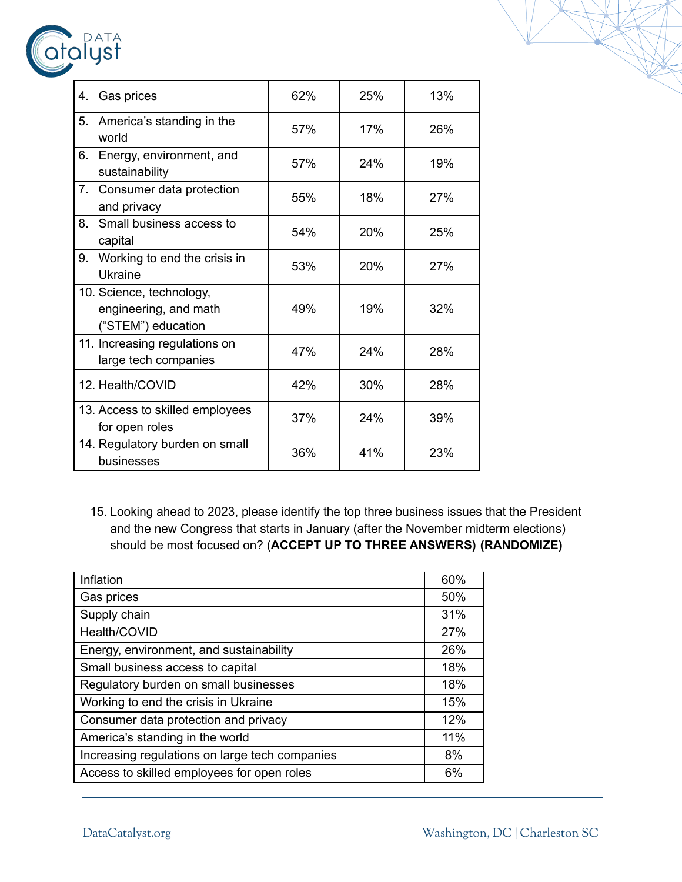| DATA<br>atalyst                                            |     |     |     |
|------------------------------------------------------------|-----|-----|-----|
| Gas prices<br>4.                                           | 62% | 25% | 13% |
| 5. America's standing in the<br>world                      | 57% | 17% | 26% |
| 6. Energy, environment, and<br>sustainability              | 57% | 24% | 19% |
| 7. Consumer data protection<br>المستحدث والمتحدث والمستحدث | 55% | 18% | 27% |

| 5.             | America's standing in the<br>world                                      | 57% | 17% | 26% |
|----------------|-------------------------------------------------------------------------|-----|-----|-----|
| 6.             | Energy, environment, and<br>sustainability                              | 57% | 24% | 19% |
| 7 <sub>1</sub> | Consumer data protection<br>and privacy                                 | 55% | 18% | 27% |
| 8.             | Small business access to<br>capital                                     | 54% | 20% | 25% |
| 9.             | Working to end the crisis in<br><b>Ukraine</b>                          | 53% | 20% | 27% |
|                | 10. Science, technology,<br>engineering, and math<br>("STEM") education | 49% | 19% | 32% |
|                | 11. Increasing regulations on<br>large tech companies                   | 47% | 24% | 28% |
|                | 12. Health/COVID                                                        | 42% | 30% | 28% |
|                | 13. Access to skilled employees<br>for open roles                       | 37% | 24% | 39% |
|                | 14. Regulatory burden on small<br>businesses                            | 36% | 41% | 23% |

15. Looking ahead to 2023, please identify the top three business issues that the President and the new Congress that starts in January (after the November midterm elections) should be most focused on? (**ACCEPT UP TO THREE ANSWERS) (RANDOMIZE)**

| Inflation                                      | 60% |
|------------------------------------------------|-----|
| Gas prices                                     | 50% |
| Supply chain                                   | 31% |
| Health/COVID                                   | 27% |
| Energy, environment, and sustainability        | 26% |
| Small business access to capital               | 18% |
| Regulatory burden on small businesses          | 18% |
| Working to end the crisis in Ukraine           | 15% |
| Consumer data protection and privacy           | 12% |
| America's standing in the world                | 11% |
| Increasing regulations on large tech companies | 8%  |
| Access to skilled employees for open roles     | 6%  |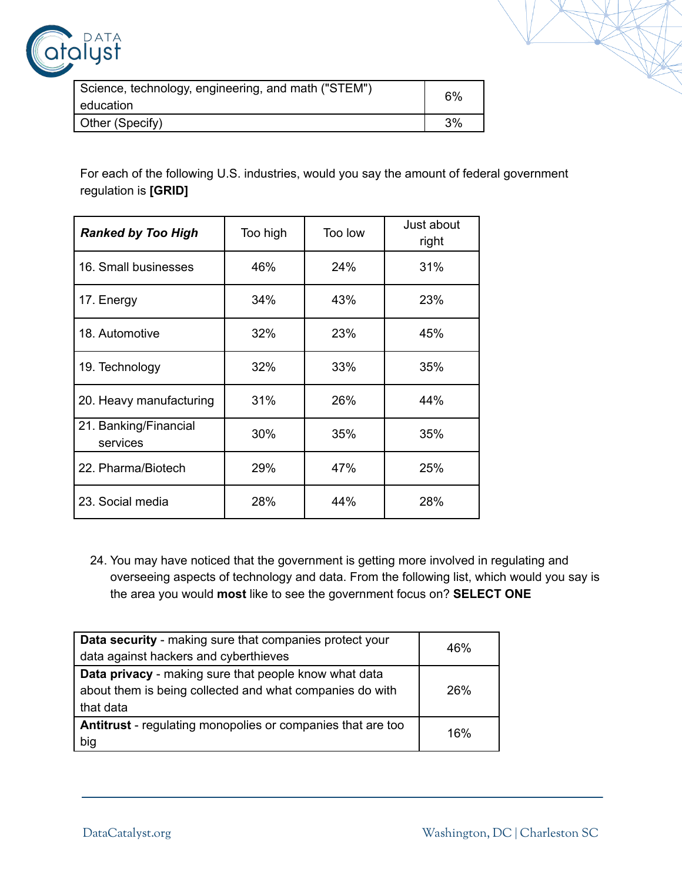

| Science, technology, engineering, and math ("STEM") | 6% |
|-----------------------------------------------------|----|
| education                                           |    |
| Other (Specify)                                     | 3% |

For each of the following U.S. industries, would you say the amount of federal government regulation is **[GRID]**

| <b>Ranked by Too High</b>         | Too high | Too low | Just about<br>right |
|-----------------------------------|----------|---------|---------------------|
| 16. Small businesses              | 46%      | 24%     | 31%                 |
| 17. Energy                        | 34%      | 43%     | 23%                 |
| 18. Automotive                    | 32%      | 23%     | 45%                 |
| 19. Technology                    | 32%      | 33%     | 35%                 |
| 20. Heavy manufacturing           | 31%      | 26%     | 44%                 |
| 21. Banking/Financial<br>services | 30%      | 35%     | 35%                 |
| 22. Pharma/Biotech                | 29%      | 47%     | 25%                 |
| 23. Social media                  | 28%      | 44%     | 28%                 |

24. You may have noticed that the government is getting more involved in regulating and overseeing aspects of technology and data. From the following list, which would you say is the area you would **most** like to see the government focus on? **SELECT ONE**

| Data security - making sure that companies protect your<br>data against hackers and cyberthieves                               | 46% |
|--------------------------------------------------------------------------------------------------------------------------------|-----|
| Data privacy - making sure that people know what data<br>about them is being collected and what companies do with<br>that data | 26% |
| <b>Antitrust</b> - regulating monopolies or companies that are too<br>big                                                      | 16% |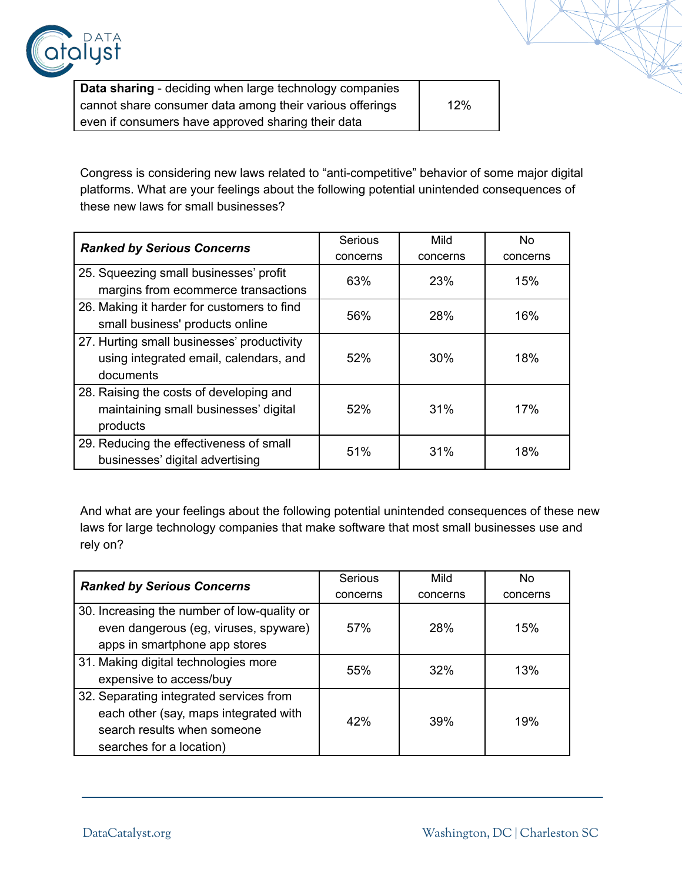

| Data sharing - deciding when large technology companies  |     |
|----------------------------------------------------------|-----|
| cannot share consumer data among their various offerings | 12% |
| even if consumers have approved sharing their data       |     |

Congress is considering new laws related to "anti-competitive" behavior of some major digital platforms. What are your feelings about the following potential unintended consequences of these new laws for small businesses?

| <b>Ranked by Serious Concerns</b>          | Serious  | Mild     | No       |
|--------------------------------------------|----------|----------|----------|
|                                            | concerns | concerns | concerns |
| 25. Squeezing small businesses' profit     | 63%      | 23%      | 15%      |
| margins from ecommerce transactions        |          |          |          |
| 26. Making it harder for customers to find | 56%      | 28%      | 16%      |
| small business' products online            |          |          |          |
| 27. Hurting small businesses' productivity |          |          |          |
| using integrated email, calendars, and     | 52%      | 30%      | 18%      |
| documents                                  |          |          |          |
| 28. Raising the costs of developing and    |          |          |          |
| maintaining small businesses' digital      | 52%      | 31%      | 17%      |
| products                                   |          |          |          |
| 29. Reducing the effectiveness of small    | 51%      | 31%      | 18%      |
| businesses' digital advertising            |          |          |          |

And what are your feelings about the following potential unintended consequences of these new laws for large technology companies that make software that most small businesses use and rely on?

| <b>Ranked by Serious Concerns</b>                                                    | Serious  | Mild     | N <sub>0</sub> |
|--------------------------------------------------------------------------------------|----------|----------|----------------|
|                                                                                      | concerns | concerns | concerns       |
| 30. Increasing the number of low-quality or<br>even dangerous (eg, viruses, spyware) | 57%      | 28%      | 15%            |
| apps in smartphone app stores                                                        |          |          |                |
| 31. Making digital technologies more                                                 | 55%      | 32%      | 13%            |
| expensive to access/buy                                                              |          |          |                |
| 32. Separating integrated services from                                              |          |          |                |
| each other (say, maps integrated with                                                | 42%      | 39%      | 19%            |
| search results when someone                                                          |          |          |                |
| searches for a location)                                                             |          |          |                |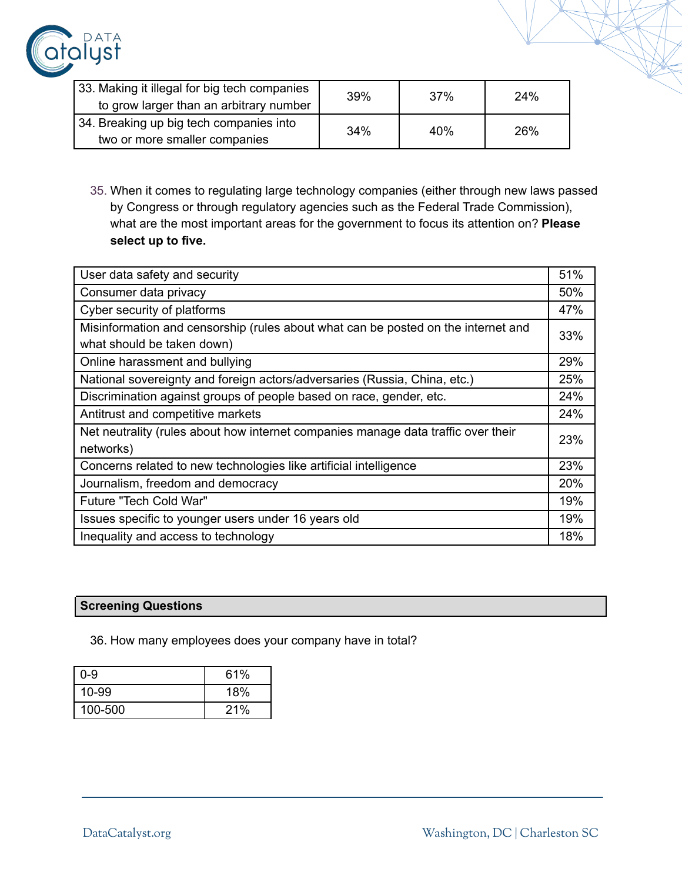

| 33. Making it illegal for big tech companies<br>to grow larger than an arbitrary number | 39% | 37% | 24% |
|-----------------------------------------------------------------------------------------|-----|-----|-----|
| 34. Breaking up big tech companies into<br>two or more smaller companies                | 34% | 40% | 26% |

35. When it comes to regulating large technology companies (either through new laws passed by Congress or through regulatory agencies such as the Federal Trade Commission), what are the most important areas for the government to focus its attention on? **Please select up to five.**

| User data safety and security                                                     | 51% |
|-----------------------------------------------------------------------------------|-----|
| Consumer data privacy                                                             | 50% |
| Cyber security of platforms                                                       | 47% |
| Misinformation and censorship (rules about what can be posted on the internet and | 33% |
| what should be taken down)                                                        |     |
| Online harassment and bullying                                                    | 29% |
| National sovereignty and foreign actors/adversaries (Russia, China, etc.)         | 25% |
| Discrimination against groups of people based on race, gender, etc.               | 24% |
| Antitrust and competitive markets                                                 | 24% |
| Net neutrality (rules about how internet companies manage data traffic over their | 23% |
| networks)                                                                         |     |
| Concerns related to new technologies like artificial intelligence                 | 23% |
| Journalism, freedom and democracy                                                 | 20% |
| Future "Tech Cold War"                                                            | 19% |
| Issues specific to younger users under 16 years old                               | 19% |
| Inequality and access to technology                                               | 18% |

## **Screening Questions**

36. How many employees does your company have in total?

| $0 - 9$   | 61% |
|-----------|-----|
| $10 - 99$ | 18% |
| 100-500   | 21% |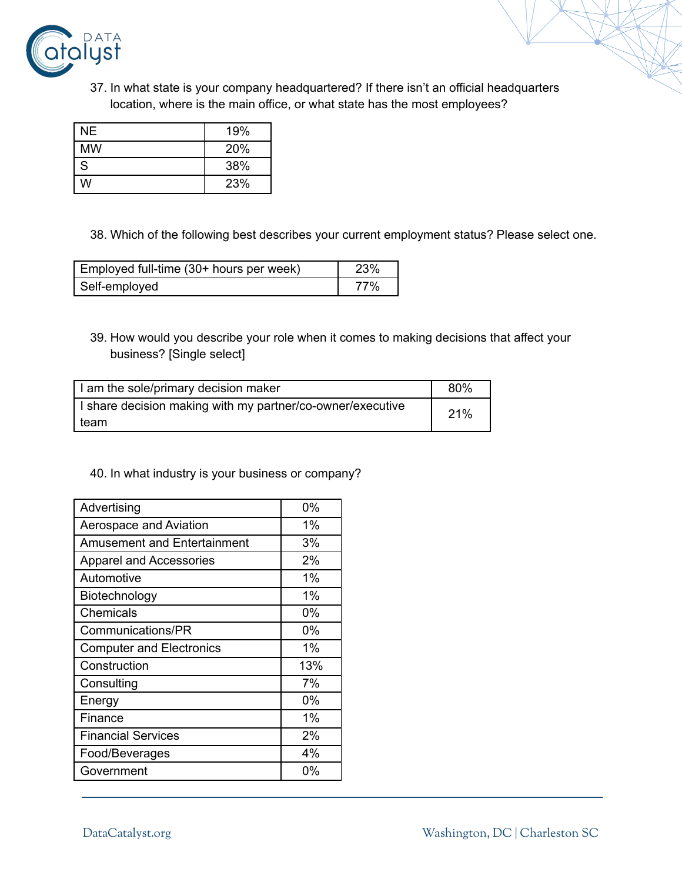

37. In what state is your company headquartered? If there isn't an official headquarters location, where is the main office, or what state has the most employees?

| NΕ        | 19% |
|-----------|-----|
| <b>MW</b> | 20% |
| S         | 38% |
| w         | 23% |

38. Which of the following best describes your current employment status? Please select one.

| Employed full-time (30+ hours per week) | 23% |
|-----------------------------------------|-----|
| Self-employed                           | 77% |

39. How would you describe your role when it comes to making decisions that affect your business? [Single select]

| I am the sole/primary decision maker                       | 80% |
|------------------------------------------------------------|-----|
| I share decision making with my partner/co-owner/executive | 21% |
| team                                                       |     |

#### 40. In what industry is your business or company?

| Advertising                        | 0%    |
|------------------------------------|-------|
| Aerospace and Aviation             | 1%    |
| <b>Amusement and Entertainment</b> | 3%    |
| <b>Apparel and Accessories</b>     | 2%    |
| Automotive                         | 1%    |
| Biotechnology                      | 1%    |
| Chemicals                          | 0%    |
| Communications/PR                  | 0%    |
| <b>Computer and Electronics</b>    | $1\%$ |
| Construction                       | 13%   |
| Consulting                         | 7%    |
| Energy                             | 0%    |
| Finance                            | 1%    |
| <b>Financial Services</b>          | 2%    |
| Food/Beverages                     | 4%    |
| Government                         | 0%    |
|                                    |       |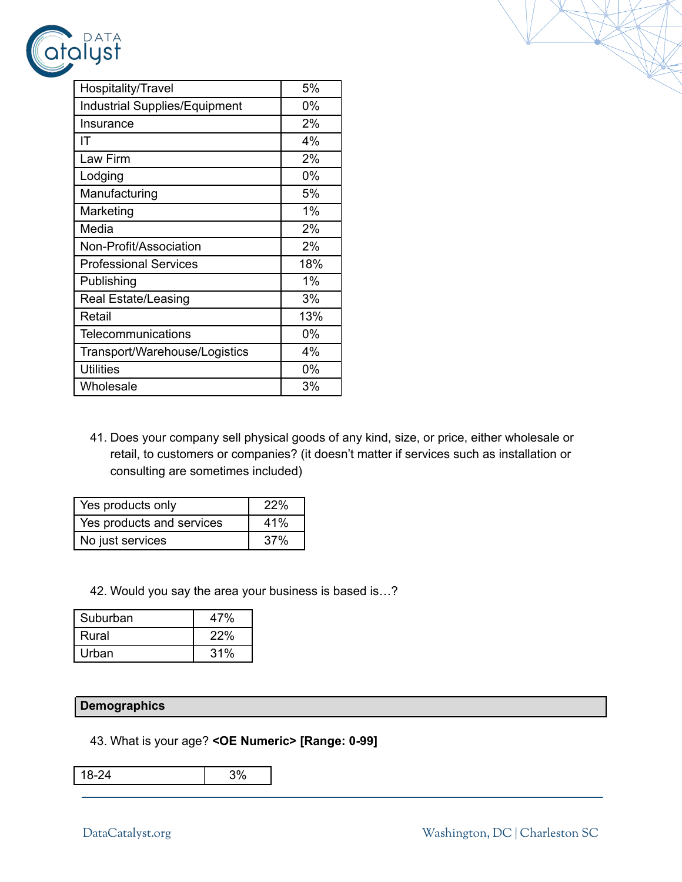

| Hospitality/Travel                   | 5%    |
|--------------------------------------|-------|
| <b>Industrial Supplies/Equipment</b> | $0\%$ |
| Insurance                            | 2%    |
| IΤ                                   | 4%    |
| Law Firm                             | 2%    |
| Lodging                              | 0%    |
| Manufacturing                        | 5%    |
| Marketing                            | 1%    |
| Media                                | 2%    |
| Non-Profit/Association               | 2%    |
| <b>Professional Services</b>         | 18%   |
| Publishing                           | 1%    |
| Real Estate/Leasing                  | 3%    |
| Retail                               | 13%   |
| Telecommunications                   | $0\%$ |
| Transport/Warehouse/Logistics        | 4%    |
| <b>Utilities</b>                     | $0\%$ |
| Wholesale                            | 3%    |

41. Does your company sell physical goods of any kind, size, or price, either wholesale or retail, to customers or companies? (it doesn't matter if services such as installation or consulting are sometimes included)

| Yes products only         | <b>22%</b> |
|---------------------------|------------|
| Yes products and services | 41%        |
| No just services          | 37%        |

42. Would you say the area your business is based is…?

| Suburban | 47% |
|----------|-----|
| Rural    | 22% |
| Urban    | 31% |

#### **Demographics**

### 43. What is your age? **<OE Numeric> [Range: 0-99]**

18-24 3%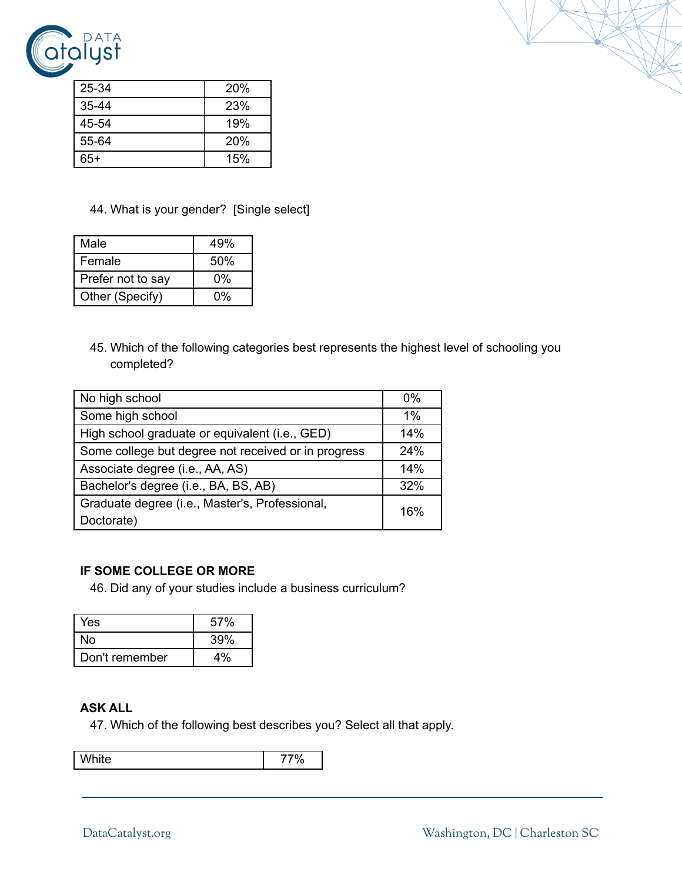

| 25-34     | 20% |
|-----------|-----|
| $35 - 44$ | 23% |
| 45-54     | 19% |
| 55-64     | 20% |
| $65+$     | 15% |

#### 44. What is your gender? [Single select]

| Male              | 49% |
|-------------------|-----|
| Female            | 50% |
| Prefer not to say | 0%  |
| Other (Specify)   | 0%  |

45. Which of the following categories best represents the highest level of schooling you completed?

| No high school                                      | $0\%$ |
|-----------------------------------------------------|-------|
| Some high school                                    | $1\%$ |
| High school graduate or equivalent (i.e., GED)      | 14%   |
| Some college but degree not received or in progress | 24%   |
| Associate degree (i.e., AA, AS)                     | 14%   |
| Bachelor's degree (i.e., BA, BS, AB)                | 32%   |
| Graduate degree (i.e., Master's, Professional,      | 16%   |
| Doctorate)                                          |       |

#### **IF SOME COLLEGE OR MORE**

46. Did any of your studies include a business curriculum?

| Yes.           | 57% |
|----------------|-----|
| No             | 39% |
| Don't remember | 4%  |

#### **ASK ALL**

47. Which of the following best describes you? Select all that apply.

White 77%